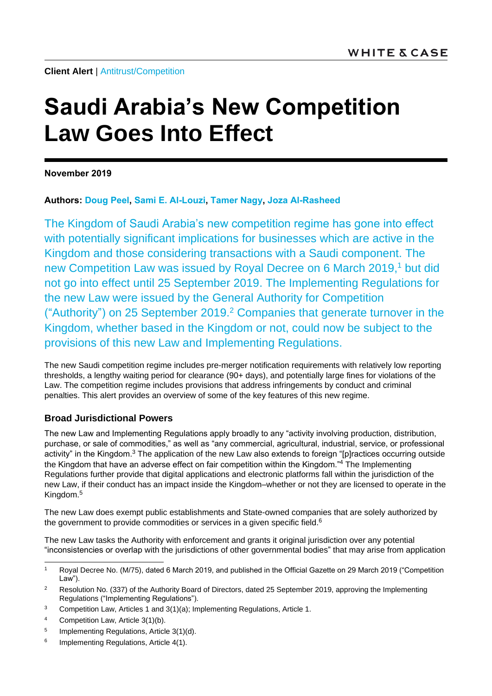**Client Alert** | [Antitrust/Competition](https://www.whitecase.com/law/practices/antitrust-competition)

# **Saudi Arabia's New Competition Law Goes Into Effect**

**November 2019**

**Authors: [Doug Peel,](https://www.whitecase.com/people/doug-peel) [Sami E. Al-Louzi,](https://www.whitecase.com/people/sami-e-al-louzi) [Tamer Nagy,](https://www.whitecase.com/people/tamer-nagy) [Joza Al-Rasheed](https://www.whitecase.com/people/joza-al-rasheed)**

The Kingdom of Saudi Arabia's new competition regime has gone into effect with potentially significant implications for businesses which are active in the Kingdom and those considering transactions with a Saudi component. The new Competition Law was issued by Royal Decree on 6 March 2019, <sup>1</sup> but did not go into effect until 25 September 2019. The Implementing Regulations for the new Law were issued by the General Authority for Competition ("Authority") on 25 September 2019.<sup>2</sup> Companies that generate turnover in the Kingdom, whether based in the Kingdom or not, could now be subject to the provisions of this new Law and Implementing Regulations.

The new Saudi competition regime includes pre-merger notification requirements with relatively low reporting thresholds, a lengthy waiting period for clearance (90+ days), and potentially large fines for violations of the Law. The competition regime includes provisions that address infringements by conduct and criminal penalties. This alert provides an overview of some of the key features of this new regime.

## **Broad Jurisdictional Powers**

The new Law and Implementing Regulations apply broadly to any "activity involving production, distribution, purchase, or sale of commodities," as well as "any commercial, agricultural, industrial, service, or professional activity" in the Kingdom.<sup>3</sup> The application of the new Law also extends to foreign "[p]ractices occurring outside the Kingdom that have an adverse effect on fair competition within the Kingdom."<sup>4</sup> The Implementing Regulations further provide that digital applications and electronic platforms fall within the jurisdiction of the new Law, if their conduct has an impact inside the Kingdom–whether or not they are licensed to operate in the Kingdom.<sup>5</sup>

The new Law does exempt public establishments and State-owned companies that are solely authorized by the government to provide commodities or services in a given specific field.<sup>6</sup>

The new Law tasks the Authority with enforcement and grants it original jurisdiction over any potential "inconsistencies or overlap with the jurisdictions of other governmental bodies" that may arise from application

- <sup>3</sup> Competition Law, Articles 1 and  $3(1)(a)$ ; Implementing Regulations, Article 1.
- <sup>4</sup> Competition Law, Article 3(1)(b).
- 5 Implementing Regulations, Article 3(1)(d).
- 6 Implementing Regulations, Article 4(1).

 $\overline{1}$ <sup>1</sup> Royal Decree No. (M/75), dated 6 March 2019, and published in the Official Gazette on 29 March 2019 ("Competition Law").

<sup>&</sup>lt;sup>2</sup> Resolution No. (337) of the Authority Board of Directors, dated 25 September 2019, approving the Implementing Regulations ("Implementing Regulations").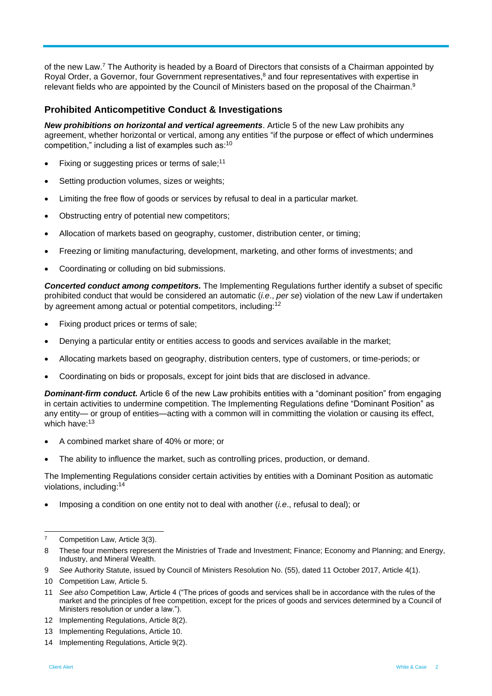of the new Law.<sup>7</sup> The Authority is headed by a Board of Directors that consists of a Chairman appointed by Royal Order, a Governor, four Government representatives,<sup>8</sup> and four representatives with expertise in relevant fields who are appointed by the Council of Ministers based on the proposal of the Chairman.<sup>9</sup>

#### **Prohibited Anticompetitive Conduct & Investigations**

*New prohibitions on horizontal and vertical agreements*. Article 5 of the new Law prohibits any agreement, whether horizontal or vertical, among any entities "if the purpose or effect of which undermines competition," including a list of examples such as: $10$ 

- Fixing or suggesting prices or terms of sale:<sup>11</sup>
- Setting production volumes, sizes or weights;
- Limiting the free flow of goods or services by refusal to deal in a particular market.
- Obstructing entry of potential new competitors;
- Allocation of markets based on geography, customer, distribution center, or timing;
- Freezing or limiting manufacturing, development, marketing, and other forms of investments; and
- Coordinating or colluding on bid submissions.

*Concerted conduct among competitors.* The Implementing Regulations further identify a subset of specific prohibited conduct that would be considered an automatic (*i.e*., *per se*) violation of the new Law if undertaken by agreement among actual or potential competitors, including:<sup>12</sup>

- Fixing product prices or terms of sale;
- Denying a particular entity or entities access to goods and services available in the market;
- Allocating markets based on geography, distribution centers, type of customers, or time-periods; or
- Coordinating on bids or proposals, except for joint bids that are disclosed in advance.

*Dominant-firm conduct.* Article 6 of the new Law prohibits entities with a "dominant position" from engaging in certain activities to undermine competition. The Implementing Regulations define "Dominant Position" as any entity— or group of entities—acting with a common will in committing the violation or causing its effect, which have:<sup>13</sup>

- A combined market share of 40% or more; or
- The ability to influence the market, such as controlling prices, production, or demand.

The Implementing Regulations consider certain activities by entities with a Dominant Position as automatic violations, including:<sup>14</sup>

Imposing a condition on one entity not to deal with another (*i.e*., refusal to deal); or

l Competition Law, Article 3(3).

<sup>8</sup> These four members represent the Ministries of Trade and Investment; Finance; Economy and Planning; and Energy, Industry, and Mineral Wealth.

<sup>9</sup> *See* Authority Statute, issued by Council of Ministers Resolution No. (55), dated 11 October 2017, Article 4(1).

<sup>10</sup> Competition Law, Article 5.

<sup>11</sup> *See also* Competition Law, Article 4 ("The prices of goods and services shall be in accordance with the rules of the market and the principles of free competition, except for the prices of goods and services determined by a Council of Ministers resolution or under a law.").

<sup>12</sup> Implementing Regulations, Article 8(2).

<sup>13</sup> Implementing Regulations, Article 10.

<sup>14</sup> Implementing Regulations, Article 9(2).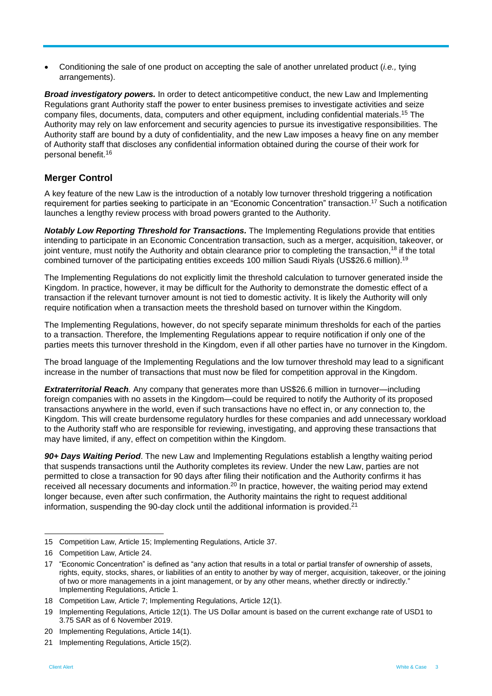Conditioning the sale of one product on accepting the sale of another unrelated product (*i.e.,* tying arrangements).

*Broad investigatory powers.* In order to detect anticompetitive conduct, the new Law and Implementing Regulations grant Authority staff the power to enter business premises to investigate activities and seize company files, documents, data, computers and other equipment, including confidential materials.<sup>15</sup> The Authority may rely on law enforcement and security agencies to pursue its investigative responsibilities. The Authority staff are bound by a duty of confidentiality, and the new Law imposes a heavy fine on any member of Authority staff that discloses any confidential information obtained during the course of their work for personal benefit. 16

# **Merger Control**

A key feature of the new Law is the introduction of a notably low turnover threshold triggering a notification requirement for parties seeking to participate in an "Economic Concentration" transaction.<sup>17</sup> Such a notification launches a lengthy review process with broad powers granted to the Authority.

*Notably Low Reporting Threshold for Transactions.* The Implementing Regulations provide that entities intending to participate in an Economic Concentration transaction, such as a merger, acquisition, takeover, or joint venture, must notify the Authority and obtain clearance prior to completing the transaction,<sup>18</sup> if the total combined turnover of the participating entities exceeds 100 million Saudi Riyals (US\$26.6 million).<sup>19</sup>

The Implementing Regulations do not explicitly limit the threshold calculation to turnover generated inside the Kingdom. In practice, however, it may be difficult for the Authority to demonstrate the domestic effect of a transaction if the relevant turnover amount is not tied to domestic activity. It is likely the Authority will only require notification when a transaction meets the threshold based on turnover within the Kingdom.

The Implementing Regulations, however, do not specify separate minimum thresholds for each of the parties to a transaction. Therefore, the Implementing Regulations appear to require notification if only one of the parties meets this turnover threshold in the Kingdom, even if all other parties have no turnover in the Kingdom.

The broad language of the Implementing Regulations and the low turnover threshold may lead to a significant increase in the number of transactions that must now be filed for competition approval in the Kingdom.

*Extraterritorial Reach.* Any company that generates more than US\$26.6 million in turnover—including foreign companies with no assets in the Kingdom—could be required to notify the Authority of its proposed transactions anywhere in the world, even if such transactions have no effect in, or any connection to, the Kingdom. This will create burdensome regulatory hurdles for these companies and add unnecessary workload to the Authority staff who are responsible for reviewing, investigating, and approving these transactions that may have limited, if any, effect on competition within the Kingdom.

*90+ Days Waiting Period*. The new Law and Implementing Regulations establish a lengthy waiting period that suspends transactions until the Authority completes its review. Under the new Law, parties are not permitted to close a transaction for 90 days after filing their notification and the Authority confirms it has received all necessary documents and information.<sup>20</sup> In practice, however, the waiting period may extend longer because, even after such confirmation, the Authority maintains the right to request additional information, suspending the 90-day clock until the additional information is provided. $21$ 

l 15 Competition Law, Article 15; Implementing Regulations, Article 37.

<sup>16</sup> Competition Law, Article 24.

<sup>17</sup> "Economic Concentration" is defined as "any action that results in a total or partial transfer of ownership of assets, rights, equity, stocks, shares, or liabilities of an entity to another by way of merger, acquisition, takeover, or the joining of two or more managements in a joint management, or by any other means, whether directly or indirectly." Implementing Regulations, Article 1.

<sup>18</sup> Competition Law, Article 7; Implementing Regulations, Article 12(1).

<sup>19</sup> Implementing Regulations, Article 12(1). The US Dollar amount is based on the current exchange rate of USD1 to 3.75 SAR as of 6 November 2019.

<sup>20</sup> Implementing Regulations, Article 14(1).

<sup>21</sup> Implementing Regulations, Article 15(2).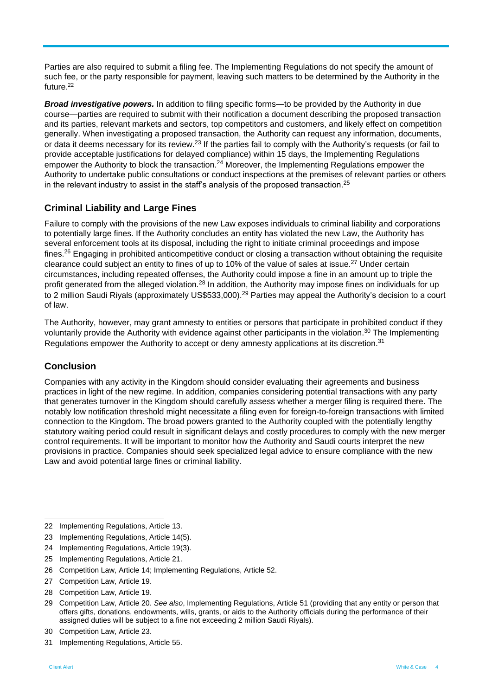Parties are also required to submit a filing fee. The Implementing Regulations do not specify the amount of such fee, or the party responsible for payment, leaving such matters to be determined by the Authority in the future. 22

*Broad investigative powers.* In addition to filing specific forms—to be provided by the Authority in due course—parties are required to submit with their notification a document describing the proposed transaction and its parties, relevant markets and sectors, top competitors and customers, and likely effect on competition generally. When investigating a proposed transaction, the Authority can request any information, documents, or data it deems necessary for its review.<sup>23</sup> If the parties fail to comply with the Authority's requests (or fail to provide acceptable justifications for delayed compliance) within 15 days, the Implementing Regulations empower the Authority to block the transaction.<sup>24</sup> Moreover, the Implementing Regulations empower the Authority to undertake public consultations or conduct inspections at the premises of relevant parties or others in the relevant industry to assist in the staff's analysis of the proposed transaction.<sup>25</sup>

## **Criminal Liability and Large Fines**

Failure to comply with the provisions of the new Law exposes individuals to criminal liability and corporations to potentially large fines. If the Authority concludes an entity has violated the new Law, the Authority has several enforcement tools at its disposal, including the right to initiate criminal proceedings and impose fines.<sup>26</sup> Engaging in prohibited anticompetitive conduct or closing a transaction without obtaining the requisite clearance could subject an entity to fines of up to 10% of the value of sales at issue.<sup>27</sup> Under certain circumstances, including repeated offenses, the Authority could impose a fine in an amount up to triple the profit generated from the alleged violation.<sup>28</sup> In addition, the Authority may impose fines on individuals for up to 2 million Saudi Rivals (approximately US\$533,000).<sup>29</sup> Parties may appeal the Authority's decision to a court of law.

The Authority, however, may grant amnesty to entities or persons that participate in prohibited conduct if they voluntarily provide the Authority with evidence against other participants in the violation.<sup>30</sup> The Implementing Regulations empower the Authority to accept or deny amnesty applications at its discretion.<sup>31</sup>

#### **Conclusion**

Companies with any activity in the Kingdom should consider evaluating their agreements and business practices in light of the new regime. In addition, companies considering potential transactions with any party that generates turnover in the Kingdom should carefully assess whether a merger filing is required there. The notably low notification threshold might necessitate a filing even for foreign-to-foreign transactions with limited connection to the Kingdom. The broad powers granted to the Authority coupled with the potentially lengthy statutory waiting period could result in significant delays and costly procedures to comply with the new merger control requirements. It will be important to monitor how the Authority and Saudi courts interpret the new provisions in practice. Companies should seek specialized legal advice to ensure compliance with the new Law and avoid potential large fines or criminal liability.

l

<sup>22</sup> Implementing Regulations, Article 13.

<sup>23</sup> Implementing Regulations, Article 14(5).

<sup>24</sup> Implementing Regulations, Article 19(3).

<sup>25</sup> Implementing Regulations, Article 21.

<sup>26</sup> Competition Law, Article 14; Implementing Regulations, Article 52.

<sup>27</sup> Competition Law, Article 19.

<sup>28</sup> Competition Law, Article 19.

<sup>29</sup> Competition Law, Article 20. *See also*, Implementing Regulations, Article 51 (providing that any entity or person that offers gifts, donations, endowments, wills, grants, or aids to the Authority officials during the performance of their assigned duties will be subject to a fine not exceeding 2 million Saudi Riyals).

<sup>30</sup> Competition Law, Article 23.

<sup>31</sup> Implementing Regulations, Article 55.